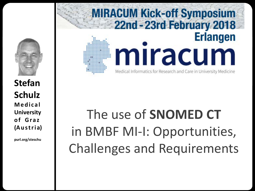

**Stefan Schulz Medi ca l University of Gra z (Austria)**

**purl.org/steschu**

### **MIRACUM Kick-off Symposium** 22nd - 23rd February 2018 **Erlangen** mıracum Medical Informatics for Research and Care in University Medicine

# The use of **SNOMED CT**  in BMBF MI-I: Opportunities, Challenges and Requirements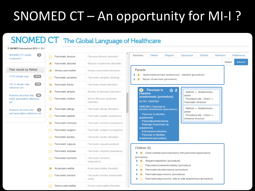## SNOMED CT – An opportunity for MI-I ?

#### SNOMED CT The Global Language of Healthcare

| <b>SIVOIVILLO THESHIQUOHGI ZOTO VILSOLS</b>                                  |                                                                                                        |                                               |                                                                                                                                         |
|------------------------------------------------------------------------------|--------------------------------------------------------------------------------------------------------|-----------------------------------------------|-----------------------------------------------------------------------------------------------------------------------------------------|
| $\left  \right $<br><b>SNOMED CT model</b><br>component                      | Pancreatic divisum                                                                                     | Pancreas divisum (disorder)                   | Summary<br><b>Details</b><br><b>References</b><br>Diagram<br>Expression<br><b>Refsets</b><br><b>Members</b>                             |
|                                                                              | Pancreatic abscess<br>$\equiv$ 1                                                                       | Abscess of pancreas (disorder)                | <b>Stated</b><br><b>Inferred</b>                                                                                                        |
| Filter results by Refset                                                     | [≡)<br>Mumps pancreatitis                                                                              | Mumps pancreatitis (disorder)                 | Parents                                                                                                                                 |
| 1272<br>CTV3 simple map                                                      | Pancreatic symptom                                                                                     | Pancreatic symptom (finding)                  | Gastrointestinal tract anastomosis - intestine (procedure)<br>⋗〔≡〕<br>Repair of pancreas (procedure)<br>$\sum_{i=1}^{n}$                |
| (133)<br>ICD-O simple map<br>reference set                                   | Pancreatic fistula<br>$\equiv$ )                                                                       | Pancreatic fistula (disorder)                 |                                                                                                                                         |
| (89)                                                                         | Pancreatic atrophy<br>$\equiv$                                                                         | Atrophy of pancreas (disorder)                | Pancreas to<br>☆ 프<br>$\blacksquare$<br>Method $\rightarrow$ Anastomosis -<br>intestine                                                 |
| Anatomy structure and<br>entire association reference<br>set                 | Pancreatic cholera                                                                                     | <b>Verner-Morrison syndrome</b><br>(disorder) | action<br>anastomosis (procedure)<br>Procedure site - Direct $\rightarrow$<br>SCTID: 43907003<br>Pancreatic structure                   |
| $\left( 2\right)$<br>Anatomy structure and<br>part association reference set | Pancreatin allergy<br>$\equiv$                                                                         | Pancreatin allergy (disorder)                 | 43907003   Pancreas to<br>Method $\rightarrow$ Anastomosis -<br>intestine anastomosis (procedure)  <br>action                           |
|                                                                              | Pancreatic peptide                                                                                     | Pancreatic peptide (substance)                | Pancreas to intestine<br>Procedure site - Direct $\rightarrow$<br>anastomosis<br><b>Intestinal structure</b>                            |
|                                                                              | Pancreatic hormone<br>$\equiv$ )                                                                       | Pancreatic hormone (substance)                | Pancreaticoenterostomy<br>Drainage of pancreas by                                                                                       |
|                                                                              | Pancreatic surgeon                                                                                     | Pancreatic surgeon (occupation)               | anastomosis<br>Enteropancreatostomy                                                                                                     |
|                                                                              | Pancreatic ascites                                                                                     | Pancreatic ascites (disorder)                 | Pancreas to intestine<br>anastomosis (procedure)                                                                                        |
|                                                                              | Pancreatin capsule                                                                                     | Pancreatin capsule (product)                  |                                                                                                                                         |
|                                                                              | Pancreatic amylase                                                                                     | Pancreatic amylase (substance)                | Children (6)<br>$\blacktriangleright$ ( $\equiv$ ) Distal subtotal pancreatectomy with pancreaticojejunostomy                           |
|                                                                              | <b>Pancreatic hormone</b><br>Pancreatic hormone<br>$\blacktriangleright$ ( $\equiv$ )<br>(disposition) |                                               | (procedure)<br>lleopancreatostomy (procedure)                                                                                           |
|                                                                              | Acute pancreatitis<br>$\equiv$                                                                         | Acute pancreatitis (disorder)                 | Pancreaticocystoenterostomy (procedure)<br><b>Contract</b><br>Pancreaticoduodenostomy (procedure)<br>$\blacktriangleright$ ( $\equiv$ ) |
|                                                                              | <b>Pancreatic function</b>                                                                             | Pancreatic function (observable<br>entity)    | Pancreaticojejunostomy (procedure)<br>$\sum_{i=1}^{n}$<br>Pancreaticojejunostomy, side-to-side anastomosis (procedure)<br>⋗             |
|                                                                              | Groove pancreatitis                                                                                    | Groove pancreafitis (disorder)                |                                                                                                                                         |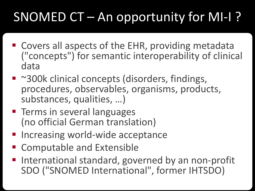# SNOMED CT – An opportunity for MI-I ?

- Covers all aspects of the EHR, providing metadata ("concepts") for semantic interoperability of clinical data
- ~300k clinical concepts (disorders, findings, procedures, observables, organisms, products, substances, qualities, …)
- **Terms in several languages** (no official German translation)
- **Increasing world-wide acceptance**
- Computable and Extensible
- International standard, governed by an non-profit SDO ("SNOMED International", former IHTSDO)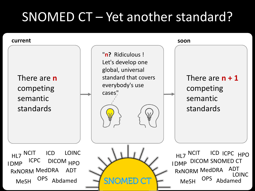## SNOMED CT – Yet another standard?

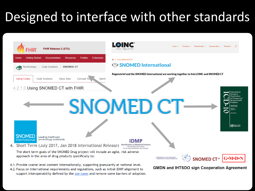## Designed to interface with other standards



4.2. Focus on international requirements and regulations, such as initial IDMP alignment to support interoperability defined by the use cases and remove some barriers of adoption.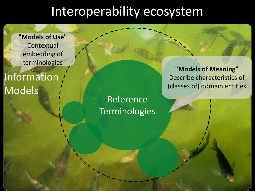**"Models of Use" Contextual** embedding of terminologies

Information / Models

Reference **Terminologies** 

**"Models of Meaning"** Describe characteristics of (classes of) domain entities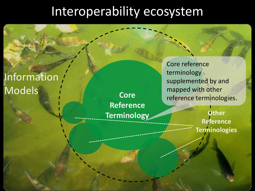#### Information Models

**Core Reference Terminology** Core reference terminology supplemented by and mapped with other reference terminologies.

> **Other Reference Terminologies**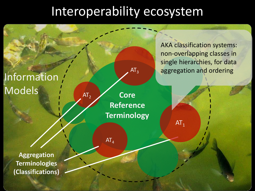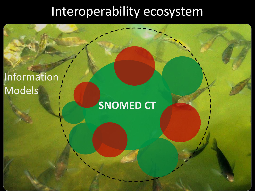#### Information, Models

## **SNOMED CT**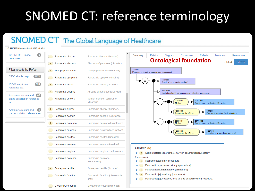## SNOMED CT: reference terminology

#### SNOMED CT The Global Language of Healthcare

Groove pancreatitis (disorder)

| © SNOMED International 2018 v1.36.5                                   |                                |                                         |
|-----------------------------------------------------------------------|--------------------------------|-----------------------------------------|
| $\overline{2}$<br><b>SNOMED CT model</b><br>component                 | Pancreatic divisum             | Pancreas divisum (                      |
|                                                                       | Pancreatic abscess<br>$\equiv$ | <b>Abscess of pancred</b>               |
| <b>Filter results by Refset</b>                                       | E.<br>Mumps pancreatitis       | Mumps pancreatitis                      |
| 1272.<br>CTV3 simple map                                              | Pancreatic symptom             | Pancreatic symptor                      |
| 133 <sup>°</sup><br>ICD-O simple map<br>reference set                 | $\equiv$<br>Pancreatic fistula | Pancreatic fistula (                    |
|                                                                       | (≡)<br>Pancreatic atrophy      | Atrophy of pancrea                      |
| Anatomy structure and<br>$-69$<br>entire association reference<br>sef | Pancreatic cholera             | <b>Verner-Morrison sy</b><br>(disorder) |
| -21<br><b>Anatomy structure and</b>                                   | Pancreatin allergy<br>î≣ î     | Pancreatin allergy                      |
| part association reference set                                        | Pancreatic peptide             | Pancreatic peptide                      |
|                                                                       | Pancreatic hormone<br>E.       | Pancreatic hormon                       |
|                                                                       | Pancreatic surgeon             | <b>Pancreatic surgeor</b>               |
|                                                                       | Pancreatic ascites             | <b>Pancreatic ascites</b>               |
|                                                                       | Pancreatin capsule             | Pancreatin capsule                      |
|                                                                       | Pancreatic amylase             | <b>Pancreatic amylase</b>               |
|                                                                       | Pancreatic hormone             | Pancreatic hormon<br>(disposition)      |
|                                                                       | Acute pancreatitis<br>$\equiv$ | <b>Acute pancreatifis</b>               |
|                                                                       | <b>Pancreatic function</b>     | <b>Pancreatic function</b><br>entity)   |

Groove pancreatitis

| <i>i</i> isum (disorder) | Expression<br><b>Members</b><br><b>Details</b><br>Diagram<br><b>Refsets</b><br><b>References</b><br>Summary |
|--------------------------|-------------------------------------------------------------------------------------------------------------|
| xancreas (disorder)      | <b>Ontological foundation</b><br><b>Stated</b><br>Inferred                                                  |
| reatitis (disorder)      | 43907003<br>Pancreas to intestine anastomosis (procedure)                                                   |
| vmptom (finding)         | 15051002                                                                                                    |
| stula (disorder)         | Repair of pancreas (procedure)                                                                              |
| ancreas (disorder)       | 235407009<br>Gastrointestinal tract anastomosis - intestine (procedure)                                     |
| ison syndrome            | 260686004<br>257741005<br>Method<br>Anastomosis - action (qualifier value)                                  |
| (disorder)               | 405813007<br>15776009                                                                                       |
| eptide (substance)       | Procedure site - Direct<br>Pancreatic structure (body structure)                                            |
| comone (substance)       | 257741005<br>260686004<br>Anastomosis - action (qualifier value)<br>Method                                  |
| urgeon (occupation)      | 405813007<br>113276009<br>Procedure site - Direct<br>Intestinal structure (body structure)                  |
| scites (disorder)        |                                                                                                             |
| apsule (product)         |                                                                                                             |
| mylase (substance)       | Children (6)<br>Distal subtotal pancreatectomy with pancreaticojejunostomy                                  |
| <b>tormone</b>           | (procedure)<br>lleopancreatostomy (procedure)<br>Ξ                                                          |
| eatifis (disorder)       | Pancreaticocystoenterostomy (procedure)<br>Pancreaticoduodenostomy (procedure)<br>Ξ                         |
| unction (observable      | Pancreaticojejunostomy (procedure)<br>Ξ<br>Pancreaticojejunostomy, side-to-side anastomosis (procedure)     |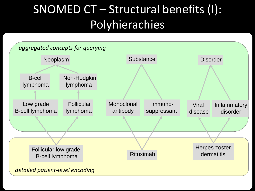## SNOMED CT – Structural benefits (I): Polyhierachies

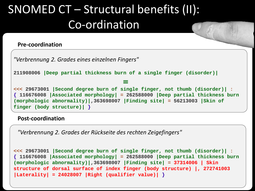## SNOMED CT – Structural benefits (II): Co-ordination

#### **Pre-coordination**

```
<<< 29673001 |Second degree burn of single finger, not thumb (disorder)| :
{ 116676008 |Associated morphology| = 262588000 |Deep partial thickness burn 
(morphologic abnormality)|,363698007 |Finding site| = 56213003 |Skin of 
finger (body structure)| }
211908006 |Deep partial thickness burn of a single finger (disorder)|
 ≡
"Verbrennung 2. Grades eines einzelnen Fingers"
```
#### **Post-coordination**

*"Verbrennung 2. Grades der Rückseite des rechten Zeigefingers"* 

```
<<< 29673001 |Second degree burn of single finger, not thumb (disorder)| :
{ 116676008 |Associated morphology| = 262588000 |Deep partial thickness burn 
(morphologic abnormality)|,363698007 |Finding site| = 37314006 | Skin 
structure of dorsal surface of index finger (body structure) |, 272741003 
|Laterality| = 24028007 |Right (qualifier value)| }
```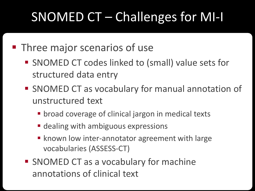# SNOMED CT – Challenges for MI-I

#### **Three major scenarios of use**

- **SNOMED CT codes linked to (small) value sets for** structured data entry
- SNOMED CT as vocabulary for manual annotation of unstructured text
	- **broad coverage of clinical jargon in medical texts**
	- **dealing with ambiguous expressions**
	- **Khown low inter-annotator agreement with large** vocabularies (ASSESS-CT)
- SNOMED CT as a vocabulary for machine annotations of clinical text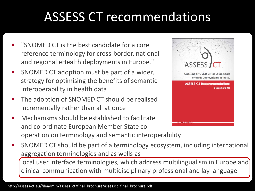# ASSESS CT recommendations

- "SNOMED CT is the best candidate for a core reference terminology for cross-border, national and regional eHealth deployments in Europe."
- **SNOMED CT adoption must be part of a wider,** strategy for optimising the benefits of semantic interoperability in health data
- The adoption of SNOMED CT should be realised incrementally rather than all at once
- Mechanisms should be established to facilitate and co-ordinate European Member State cooperation on terminology and semantic interoperability



 SNOMED CT should be part of a terminology ecosystem, including international aggregation terminologies and as wells as

local user interface terminologies, which address multilingualism in Europe and clinical communication with multidisciplinary professional and lay language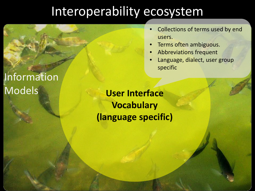- Collections of terms used by end users.
- Terms often ambiguous.
- Abbreviations frequent
- Language, dialect, user group specific

Information Models

**User Interface Vocabulary (language specific)**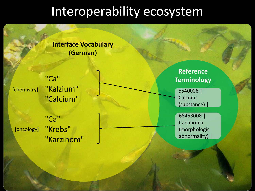#### **Interface Vocabulary (German)**

"Ca" "Kalzium" "Calcium" [chemistry]

"Ca" "Krebs" "Karzinom" [oncology]

**Reference Terminology**

5540006 | Calcium (substance) |

68453008 | Carcinoma (morphologic abnormality) |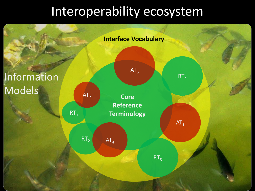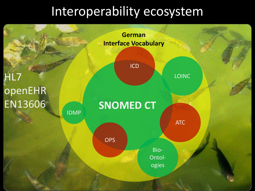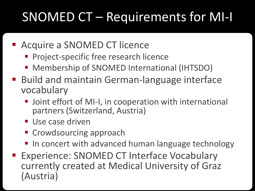# SNOMED CT – Requirements for MI-I

- Acquire a SNOMED CT licence
	- **Project-specific free research licence**
	- **Membership of SNOMED International (IHTSDO)**
- Build and maintain German-language interface vocabulary
	- **Joint effort of MI-I, in cooperation with international** partners (Switzerland, Austria)
	- Use case driven
	- **E** Crowdsourcing approach
	- In concert with advanced human language technology
- **Experience: SNOMED CT Interface Vocabulary** currently created at Medical University of Graz (Austria)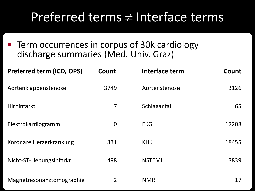## Preferred terms  $\neq$  Interface terms

**Term occurrences in corpus of 30k cardiology** discharge summaries (Med. Univ. Graz)

| Preferred term (ICD, OPS) | Count          | Interface term | Count |
|---------------------------|----------------|----------------|-------|
| Aortenklappenstenose      | 3749           | Aortenstenose  | 3126  |
| Hirninfarkt               | 7              | Schlaganfall   | 65    |
| Elektrokardiogramm        | $\bf{0}$       | <b>EKG</b>     | 12208 |
| Koronare Herzerkrankung   | 331            | <b>KHK</b>     | 18455 |
| Nicht-ST-Hebungsinfarkt   | 498            | <b>NSTEMI</b>  | 3839  |
| Magnetresonanztomographie | $\overline{2}$ | <b>NMR</b>     | 17    |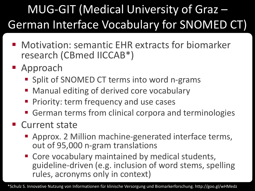## MUG-GIT (Medical University of Graz – German Interface Vocabulary for SNOMED CT)

- Motivation: semantic EHR extracts for biomarker research (CBmed IICCAB\*)
- Approach
	- **Split of SNOMED CT terms into word n-grams**
	- **Manual editing of derived core vocabulary**
	- Priority: term frequency and use cases
	- German terms from clinical corpora and terminologies
- **Current state** 
	- Approx. 2 Million machine-generated interface terms, out of 95,000 n-gram translations
	- **Core vocabulary maintained by medical students,** guideline-driven (e.g. inclusion of word stems, spelling rules, acronyms only in context)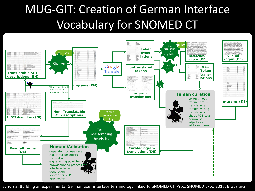## MUG-GIT: Creation of German Interface Vocabulary for SNOMED CT



Schulz S. Building an experimental German user interface terminology linked to SNOMED CT. Proc. SNOMED Expo 2017, Bratislava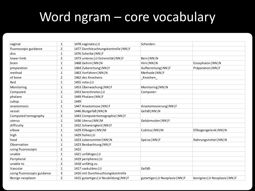## Word ngram – core vocabulary

| vaginal                     | 1              | 1478 vaginales JJ                        | Scheiden-                          |                                  |
|-----------------------------|----------------|------------------------------------------|------------------------------------|----------------------------------|
| fluoroscopic guidance       | $\overline{2}$ | 1477 Durchleuchtungskontrolle   NN   F   |                                    |                                  |
| disc                        | 1              | 1476 Scheibe   NN   F                    |                                    |                                  |
| lower limb                  | $\overline{2}$ | 1473 unteres   JJ Extremität   NN   F    | Bein   NN   N                      |                                  |
| brain                       | 1              | 1468 Gehirn   NN   N                     | Hirn   NN   N                      | Encephalon   NN   N              |
| preparation                 | $\mathbf{1}$   | 1464 Zubereitung   NN   F                | Aufbereitung   NN   F              | Präparation   NN   F             |
| method                      | 1              | 1463 Verfahren   NN   N                  | Methode   NN   F                   |                                  |
| of bone                     | $\overline{2}$ | 1462 des Knochens                        | Knochen                            |                                  |
| Red                         | 1              | $1455$ rotes JJ                          |                                    |                                  |
| Monitoring                  | 1              | 1453 Überwachung   NN   F                | Monitoring   NN   N                |                                  |
| Computed                    | 1              | 1453 berechnetes JJJ                     | Computer-                          |                                  |
| phalanx                     | 1              | 1449 Phalanx   NN   F                    |                                    |                                  |
| subsp.                      | 1              | 1449                                     |                                    |                                  |
| anastomosis                 | 1              | 1447 Anastomose   NN   F                 | Anastomosierung   NN   F           |                                  |
| vessel                      | 1              | 1446 Blutgefäß   NN   N                  | Gefäß   NN   N                     |                                  |
| Computed tomography         | $\overline{2}$ | 1443 Computertomographie   NN   F        |                                    |                                  |
| uterus                      | 1              | 1436 Uterus   NN   M                     | Gebärmutter   NN   F               |                                  |
| difficulty                  | 1              | 1432 Schwierigkeit   NN   F              |                                    |                                  |
| elbow                       | 1              | 1429 Ellbogen   NN   M                   | Cubitus   NN   M                   | Ellbogengelenk   NN   N          |
| high                        | 1              | 1429 hohes JJ                            |                                    |                                  |
| food                        | 1              | 1423 Lebensmittel   NN   N               | Speise   NN   F                    | Nahrungsmittel   NN   N          |
| Observation                 | 1              | 1423 Beobachtung   NN   F                |                                    |                                  |
| using fluoroscopic          | $\mathbf{2}$   | 1422                                     |                                    |                                  |
| unable                      | 1              | 1421 unfähiges JJ                        |                                    |                                  |
| Peripheral                  | 1              | 1419 peripheres JJ                       |                                    |                                  |
| unable to                   | $\overline{2}$ | 1418 unfähig zu                          |                                    |                                  |
| Vascular                    | 1              | 1417 vaskuläres   JJ                     | Gefäß-                             |                                  |
| using fluoroscopic guidance | $\overline{3}$ | 1416 mit Durchleuchtungskontrolle        |                                    |                                  |
| Benign neoplasm             | $\overline{2}$ | 1415 gutartiges   JJ Neubildung   NN   F | gutartiges   JJ Neoplasie   NN   F | benignes   JJ Neoplasie   NN   F |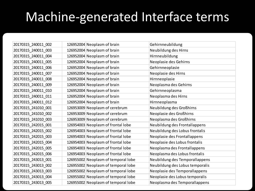## Machine-generated Interface terms

| 20170315 240011 002 | 126952004 Neoplasm of brain         | Gehirnneubildung                |
|---------------------|-------------------------------------|---------------------------------|
| 20170315_240011_003 | 126952004 Neoplasm of brain         | Neubildung des Hirns            |
| 20170315 240011 004 | 126952004 Neoplasm of brain         | Hirnneubildung                  |
| 20170315_240011_005 | 126952004 Neoplasm of brain         | Neoplasie des Gehirns           |
| 20170315 240011 006 | 126952004 Neoplasm of brain         | Gehirnneoplasie                 |
| 20170315_240011_007 | 126952004 Neoplasm of brain         | Neoplasie des Hirns             |
| 20170315 240011 008 | 126952004 Neoplasm of brain         | Hirnneoplasie                   |
| 20170315_240011_009 | 126952004 Neoplasm of brain         | Neoplasma des Gehirns           |
| 20170315_240011_010 | 126952004 Neoplasm of brain         | Gehirnneoplasma                 |
| 20170315_240011_011 | 126952004 Neoplasm of brain         | Neoplasma des Hirns             |
| 20170315 240011 012 | 126952004 Neoplasm of brain         | Hirnneoplasma                   |
| 20170315_241010_001 | 126953009 Neoplasm of cerebrum      | Neubildung des Großhirns        |
| 20170315_241010_002 | 126953009 Neoplasm of cerebrum      | Neoplasie des Großhirns         |
| 20170315_241010_003 | 126953009 Neoplasm of cerebrum      | Neoplasma des Großhirns         |
| 20170315 242015 001 | 126954003 Neoplasm of frontal lobe  | Neubildung des Frontallappens   |
| 20170315_242015_002 | 126954003 Neoplasm of frontal lobe  | Neubildung des Lobus frontalis  |
| 20170315 242015 003 | 126954003 Neoplasm of frontal lobe  | Neoplasie des Frontallappens    |
| 20170315_242015_004 | 126954003 Neoplasm of frontal lobe  | Neoplasie des Lobus frontalis   |
| 20170315 242015 005 | 126954003 Neoplasm of frontal lobe  | Neoplasma des Frontallappens    |
| 20170315_242015_006 | 126954003 Neoplasm of frontal lobe  | Neoplasma des Lobus frontalis   |
| 20170315_243013_001 | 126955002 Neoplasm of temporal lobe | Neubildung des Temporallappens  |
| 20170315_243013_002 | 126955002 Neoplasm of temporal lobe | Neubildung des Lobus temporalis |
| 20170315_243013_003 | 126955002 Neoplasm of temporal lobe | Neoplasie des Temporallappens   |
| 20170315 243013 004 | 126955002 Neoplasm of temporal lobe | Neoplasie des Lobus temporalis  |
| 20170315 243013 005 | 126955002 Neoplasm of temporal lobe | Neoplasma des Temporallappens   |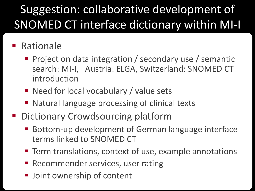## Suggestion: collaborative development of SNOMED CT interface dictionary within MI-I

#### ■ Rationale

- **Project on data integration / secondary use / semantic** search: MI-I, Austria: ELGA, Switzerland: SNOMED CT introduction
- Need for local vocabulary / value sets
- Natural language processing of clinical texts
- Dictionary Crowdsourcing platform
	- Bottom-up development of German language interface terms linked to SNOMED CT
	- **Term translations, context of use, example annotations**
	- **Recommender services, user rating**
	- **Joint ownership of content**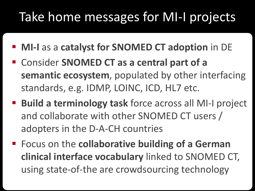## Take home messages for MI-I projects

- **MI-I** as a **catalyst for SNOMED CT adoption** in DE
- Consider **SNOMED CT as a central part of a semantic ecosystem**, populated by other interfacing standards, e.g. IDMP, LOINC, ICD, HL7 etc.
- **Build a terminology task** force across all MI-I project and collaborate with other SNOMED CT users / adopters in the D-A-CH countries
- Focus on the **collaborative building of a German clinical interface vocabulary** linked to SNOMED CT, using state-of-the are crowdsourcing technology